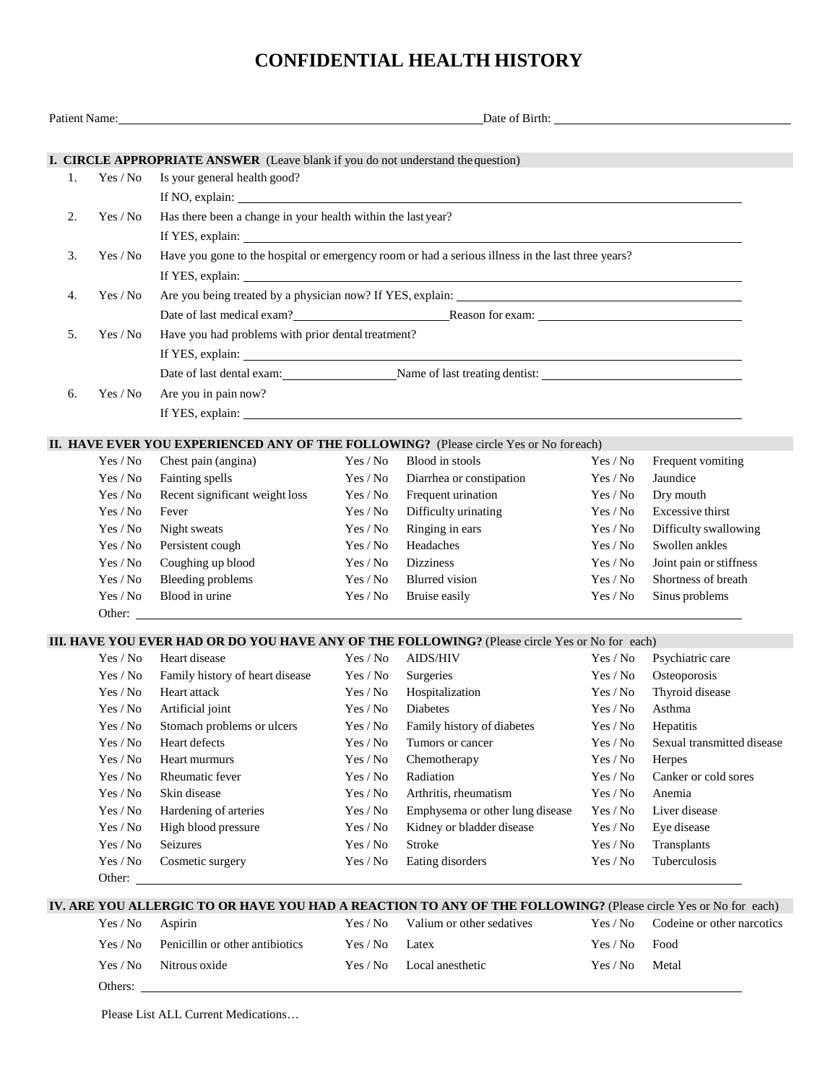## **CONFIDENTIAL HEALTH HISTORY**

|    | Patient Name: |                                                                                                   |          | Date of Birth:                                                                                                 |                                        |                            |  |  |  |  |
|----|---------------|---------------------------------------------------------------------------------------------------|----------|----------------------------------------------------------------------------------------------------------------|----------------------------------------|----------------------------|--|--|--|--|
|    |               |                                                                                                   |          |                                                                                                                |                                        |                            |  |  |  |  |
|    |               | I. CIRCLE APPROPRIATE ANSWER (Leave blank if you do not understand the question)                  |          |                                                                                                                |                                        |                            |  |  |  |  |
| 1. | Yes / No      | Is your general health good?                                                                      |          |                                                                                                                |                                        |                            |  |  |  |  |
|    |               |                                                                                                   |          |                                                                                                                |                                        |                            |  |  |  |  |
| 2. | Yes / No      | Has there been a change in your health within the last year?                                      |          |                                                                                                                |                                        |                            |  |  |  |  |
|    |               |                                                                                                   |          |                                                                                                                |                                        |                            |  |  |  |  |
| 3. | Yes / No      | Have you gone to the hospital or emergency room or had a serious illness in the last three years? |          |                                                                                                                |                                        |                            |  |  |  |  |
|    |               |                                                                                                   |          |                                                                                                                |                                        |                            |  |  |  |  |
|    |               |                                                                                                   |          |                                                                                                                |                                        |                            |  |  |  |  |
| 4. | Yes / No      | Are you being treated by a physician now? If YES, explain:                                        |          |                                                                                                                |                                        |                            |  |  |  |  |
|    |               | Date of last medical exam?<br>Reason for exam:<br>Reason for exam:                                |          |                                                                                                                |                                        |                            |  |  |  |  |
| 5. | Yes / No      | Have you had problems with prior dental treatment?                                                |          |                                                                                                                |                                        |                            |  |  |  |  |
|    |               |                                                                                                   |          |                                                                                                                |                                        |                            |  |  |  |  |
|    |               |                                                                                                   |          | Date of last dental exam: Name of last treating dentist:                                                       |                                        |                            |  |  |  |  |
| 6. | Yes / No      | Are you in pain now?                                                                              |          |                                                                                                                |                                        |                            |  |  |  |  |
|    |               |                                                                                                   |          |                                                                                                                |                                        |                            |  |  |  |  |
|    |               |                                                                                                   |          |                                                                                                                |                                        |                            |  |  |  |  |
|    |               |                                                                                                   |          | II. HAVE EVER YOU EXPERIENCED ANY OF THE FOLLOWING? (Please circle Yes or No foreach)                          |                                        |                            |  |  |  |  |
|    | Yes / No      | Chest pain (angina)                                                                               | Yes / No | Blood in stools                                                                                                | Yes / No                               | Frequent vomiting          |  |  |  |  |
|    | Yes / No      | Fainting spells                                                                                   | Yes / No | Diarrhea or constipation                                                                                       | Yes / No                               | Jaundice                   |  |  |  |  |
|    | Yes / No      | Recent significant weight loss                                                                    | Yes / No | Frequent urination                                                                                             | Yes / No                               | Dry mouth                  |  |  |  |  |
|    | Yes / No      | Fever                                                                                             | Yes / No | Difficulty urinating                                                                                           | Yes / No                               | Excessive thirst           |  |  |  |  |
|    | Yes / No      | Night sweats                                                                                      | Yes / No | Ringing in ears                                                                                                | Yes / No                               | Difficulty swallowing      |  |  |  |  |
|    | Yes / No      | Persistent cough                                                                                  | Yes / No | Headaches                                                                                                      | Yes / No                               | Swollen ankles             |  |  |  |  |
|    | Yes / No      | Coughing up blood                                                                                 | Yes / No | <b>Dizziness</b>                                                                                               | Yes / No                               | Joint pain or stiffness    |  |  |  |  |
|    | Yes / No      | Bleeding problems                                                                                 | Yes / No | <b>Blurred</b> vision                                                                                          | Yes / No                               | Shortness of breath        |  |  |  |  |
|    | Yes / No      | Blood in urine                                                                                    | Yes / No | Bruise easily                                                                                                  | Yes / No                               | Sinus problems             |  |  |  |  |
|    | Other:        |                                                                                                   |          |                                                                                                                |                                        |                            |  |  |  |  |
|    |               |                                                                                                   |          | III. HAVE YOU EVER HAD OR DO YOU HAVE ANY OF THE FOLLOWING? (Please circle Yes or No for each)                 |                                        |                            |  |  |  |  |
|    | Yes / No      | Heart disease                                                                                     | Yes / No | AIDS/HIV                                                                                                       | Yes / No                               | Psychiatric care           |  |  |  |  |
|    | Yes / No      | Family history of heart disease                                                                   | Yes / No | Surgeries                                                                                                      | Yes / No                               | Osteoporosis               |  |  |  |  |
|    | Yes / No      | Heart attack                                                                                      | Yes / No | Hospitalization                                                                                                | Yes / No                               | Thyroid disease            |  |  |  |  |
|    | Yes / No      | Artificial joint                                                                                  | Yes / No | Diabetes                                                                                                       | Yes / No                               | Asthma                     |  |  |  |  |
|    | Yes / No      | Stomach problems or ulcers                                                                        | Yes / No | Family history of diabetes                                                                                     | Yes / No                               | Hepatitis                  |  |  |  |  |
|    | Yes / No      | Heart defects                                                                                     | Yes / No | Tumors or cancer                                                                                               | Yes / No                               | Sexual transmitted disease |  |  |  |  |
|    | Yes / No      | Heart murmurs                                                                                     | Yes / No | Chemotherapy                                                                                                   | Yes / No                               | Herpes                     |  |  |  |  |
|    | Yes / No      | Rheumatic fever                                                                                   | Yes / No | Radiation                                                                                                      | Yes / No                               | Canker or cold sores       |  |  |  |  |
|    | Yes / No      | Skin disease                                                                                      | Yes / No | Arthritis, rheumatism                                                                                          | Yes / No                               | Anemia                     |  |  |  |  |
|    | Yes / No      | Hardening of arteries                                                                             | Yes / No | Emphysema or other lung disease                                                                                | Yes / No                               | Liver disease              |  |  |  |  |
|    | Yes / No      | High blood pressure                                                                               | Yes / No | Kidney or bladder disease                                                                                      | Yes / No                               | Eye disease                |  |  |  |  |
|    | Yes / No      | Seizures                                                                                          | Yes / No | Stroke                                                                                                         | Yes / No                               | Transplants                |  |  |  |  |
|    | Yes / No      | Cosmetic surgery                                                                                  | Yes / No | Eating disorders                                                                                               | Yes / No                               | Tuberculosis               |  |  |  |  |
|    | Other: $\Box$ |                                                                                                   |          |                                                                                                                |                                        |                            |  |  |  |  |
|    |               |                                                                                                   |          | IV. ARE YOU ALLERGIC TO OR HAVE YOU HAD A REACTION TO ANY OF THE FOLLOWING? (Please circle Yes or No for each) |                                        |                            |  |  |  |  |
|    | Yes / No      | Aspirin                                                                                           | Yes / No | Valium or other sedatives                                                                                      | $\operatorname{Yes}/\operatorname{No}$ | Codeine or other narcotics |  |  |  |  |
|    | Yes / No      | Penicillin or other antibiotics                                                                   | Yes / No | Latex                                                                                                          | Yes / No                               | Food                       |  |  |  |  |
|    | Yes / No      | Nitrous oxide                                                                                     | Yes / No | Local anesthetic                                                                                               | Yes / No                               | Metal                      |  |  |  |  |
|    |               |                                                                                                   |          |                                                                                                                |                                        |                            |  |  |  |  |
|    | Others:       |                                                                                                   |          |                                                                                                                |                                        |                            |  |  |  |  |

Please List ALL Current Medications…